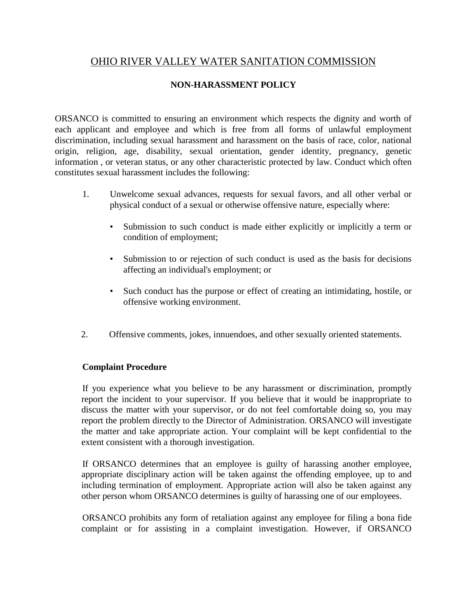## OHIO RIVER VALLEY WATER SANITATION COMMISSION

## **NON-HARASSMENT POLICY**

ORSANCO is committed to ensuring an environment which respects the dignity and worth of each applicant and employee and which is free from all forms of unlawful employment discrimination, including sexual harassment and harassment on the basis of race, color, national origin, religion, age, disability, sexual orientation, gender identity, pregnancy, genetic information , or veteran status, or any other characteristic protected by law. Conduct which often constitutes sexual harassment includes the following:

- 1. Unwelcome sexual advances, requests for sexual favors, and all other verbal or physical conduct of a sexual or otherwise offensive nature, especially where:
	- Submission to such conduct is made either explicitly or implicitly a term or condition of employment;
	- Submission to or rejection of such conduct is used as the basis for decisions affecting an individual's employment; or
	- Such conduct has the purpose or effect of creating an intimidating, hostile, or offensive working environment.
- 2. Offensive comments, jokes, innuendoes, and other sexually oriented statements.

## **Complaint Procedure**

If you experience what you believe to be any harassment or discrimination, promptly report the incident to your supervisor. If you believe that it would be inappropriate to discuss the matter with your supervisor, or do not feel comfortable doing so, you may report the problem directly to the Director of Administration. ORSANCO will investigate the matter and take appropriate action. Your complaint will be kept confidential to the extent consistent with a thorough investigation.

If ORSANCO determines that an employee is guilty of harassing another employee, appropriate disciplinary action will be taken against the offending employee, up to and including termination of employment. Appropriate action will also be taken against any other person whom ORSANCO determines is guilty of harassing one of our employees.

ORSANCO prohibits any form of retaliation against any employee for filing a bona fide complaint or for assisting in a complaint investigation. However, if ORSANCO